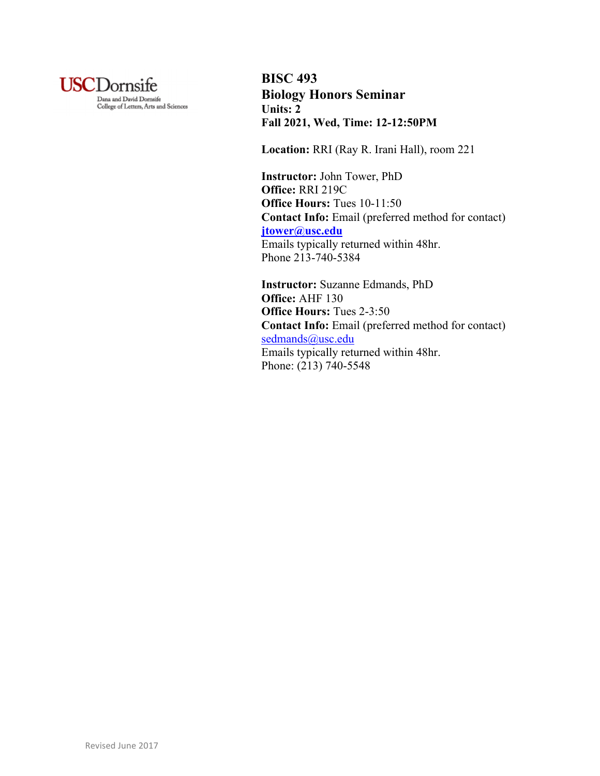

**BISC 493 Biology Honors Seminar Units: 2 Fall 2021, Wed, Time: 12-12:50PM**

**Location:** RRI (Ray R. Irani Hall), room 221

**Instructor:** John Tower, PhD **Office:** RRI 219C **Office Hours:** Tues 10-11:50 **Contact Info:** Email (preferred method for contact) **jtower@usc.edu** Emails typically returned within 48hr. Phone 213-740-5384

**Instructor:** Suzanne Edmands, PhD **Office:** AHF 130 **Office Hours:** Tues 2-3:50 **Contact Info:** Email (preferred method for contact) sedmands@usc.edu Emails typically returned within 48hr. Phone: (213) 740-5548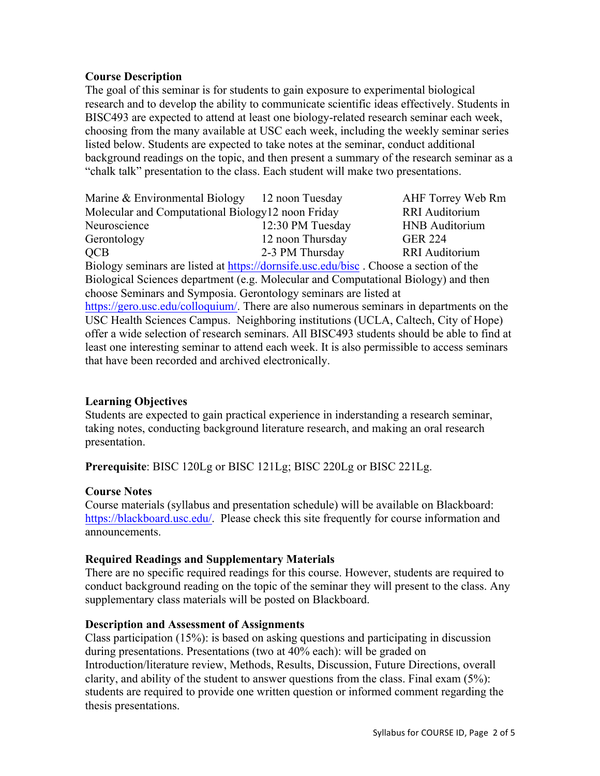#### **Course Description**

The goal of this seminar is for students to gain exposure to experimental biological research and to develop the ability to communicate scientific ideas effectively. Students in BISC493 are expected to attend at least one biology-related research seminar each week, choosing from the many available at USC each week, including the weekly seminar series listed below. Students are expected to take notes at the seminar, conduct additional background readings on the topic, and then present a summary of the research seminar as a "chalk talk" presentation to the class. Each student will make two presentations.

Marine & Environmental Biology 12 noon Tuesday AHF Torrey Web Rm Molecular and Computational Biology12 noon Friday RRI Auditorium Neuroscience 12:30 PM Tuesday HNB Auditorium Gerontology 12 noon Thursday GER 224 QCB 2-3 PM Thursday RRI Auditorium Biology seminars are listed at https://dornsife.usc.edu/bisc . Choose a section of the Biological Sciences department (e.g. Molecular and Computational Biology) and then choose Seminars and Symposia. Gerontology seminars are listed at https://gero.usc.edu/colloquium/. There are also numerous seminars in departments on the USC Health Sciences Campus. Neighboring institutions (UCLA, Caltech, City of Hope) offer a wide selection of research seminars. All BISC493 students should be able to find at least one interesting seminar to attend each week. It is also permissible to access seminars that have been recorded and archived electronically.

#### **Learning Objectives**

Students are expected to gain practical experience in inderstanding a research seminar, taking notes, conducting background literature research, and making an oral research presentation.

**Prerequisite**: BISC 120Lg or BISC 121Lg; BISC 220Lg or BISC 221Lg.

#### **Course Notes**

Course materials (syllabus and presentation schedule) will be available on Blackboard: https://blackboard.usc.edu/. Please check this site frequently for course information and announcements.

#### **Required Readings and Supplementary Materials**

There are no specific required readings for this course. However, students are required to conduct background reading on the topic of the seminar they will present to the class. Any supplementary class materials will be posted on Blackboard.

#### **Description and Assessment of Assignments**

Class participation (15%): is based on asking questions and participating in discussion during presentations. Presentations (two at 40% each): will be graded on Introduction/literature review, Methods, Results, Discussion, Future Directions, overall clarity, and ability of the student to answer questions from the class. Final exam (5%): students are required to provide one written question or informed comment regarding the thesis presentations.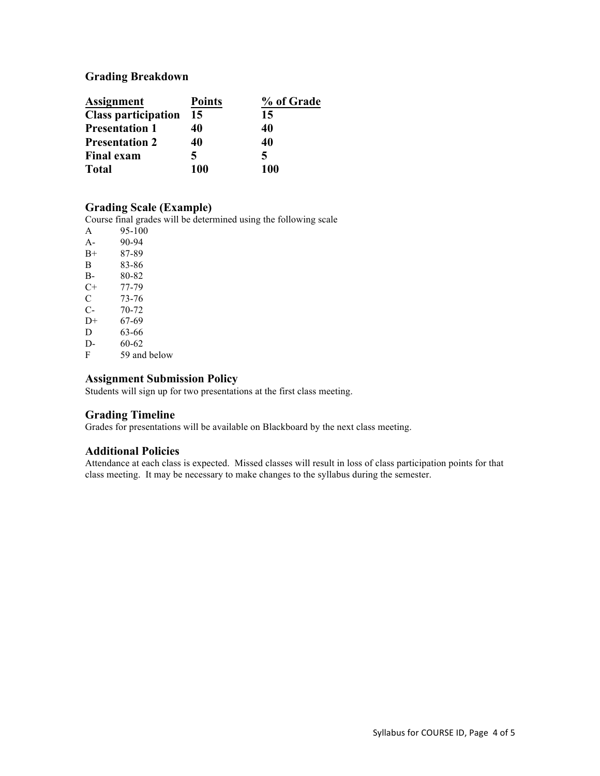# **Grading Breakdown**

| <b>Assignment</b>          | <b>Points</b> | % of Grade |
|----------------------------|---------------|------------|
| <b>Class participation</b> | 15            | 15         |
| <b>Presentation 1</b>      | 40            | 40         |
| <b>Presentation 2</b>      | 40            | 40         |
| <b>Final exam</b>          | 5             | 5          |
| <b>Total</b>               | 100           | 100        |

#### **Grading Scale (Example)**

Course final grades will be determined using the following scale

| A    | 95-100       |
|------|--------------|
| $A-$ | 90-94        |
| $B+$ | 87-89        |
| B    | 83-86        |
| B-   | 80-82        |
| $C+$ | 77-79        |
| C    | 73-76        |
| $C-$ | 70-72        |
| $D+$ | 67-69        |
| D    | 63-66        |
| D-   | 60-62        |
| F    | 59 and below |

#### **Assignment Submission Policy**

Students will sign up for two presentations at the first class meeting.

#### **Grading Timeline**

Grades for presentations will be available on Blackboard by the next class meeting.

#### **Additional Policies**

Attendance at each class is expected. Missed classes will result in loss of class participation points for that class meeting. It may be necessary to make changes to the syllabus during the semester.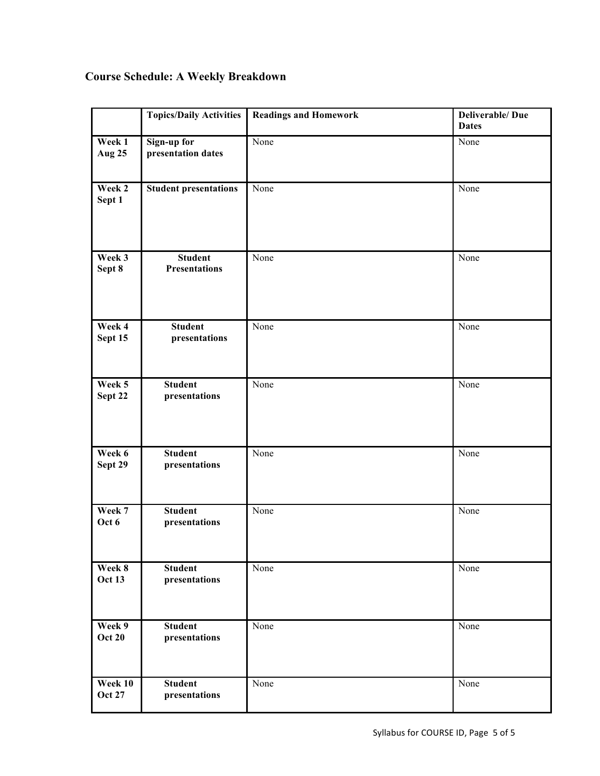# **Course Schedule: A Weekly Breakdown**

|                          | <b>Topics/Daily Activities</b>           | <b>Readings and Homework</b> | <b>Deliverable/Due</b><br><b>Dates</b> |
|--------------------------|------------------------------------------|------------------------------|----------------------------------------|
| Week 1<br><b>Aug 25</b>  | <b>Sign-up for</b><br>presentation dates | None                         | None                                   |
| Week 2<br>Sept 1         | <b>Student presentations</b>             | None                         | None                                   |
| Week 3<br>Sept 8         | <b>Student</b><br><b>Presentations</b>   | None                         | None                                   |
| Week 4<br>Sept 15        | <b>Student</b><br>presentations          | None                         | None                                   |
| Week 5<br>Sept 22        | <b>Student</b><br>presentations          | None                         | None                                   |
| Week 6<br>Sept 29        | <b>Student</b><br>presentations          | None                         | None                                   |
| Week 7<br>Oct 6          | <b>Student</b><br>presentations          | None                         | None                                   |
| Week 8<br><b>Oct 13</b>  | <b>Student</b><br>presentations          | None                         | None                                   |
| Week 9<br><b>Oct 20</b>  | <b>Student</b><br>presentations          | None                         | None                                   |
| Week 10<br><b>Oct 27</b> | <b>Student</b><br>presentations          | None                         | None                                   |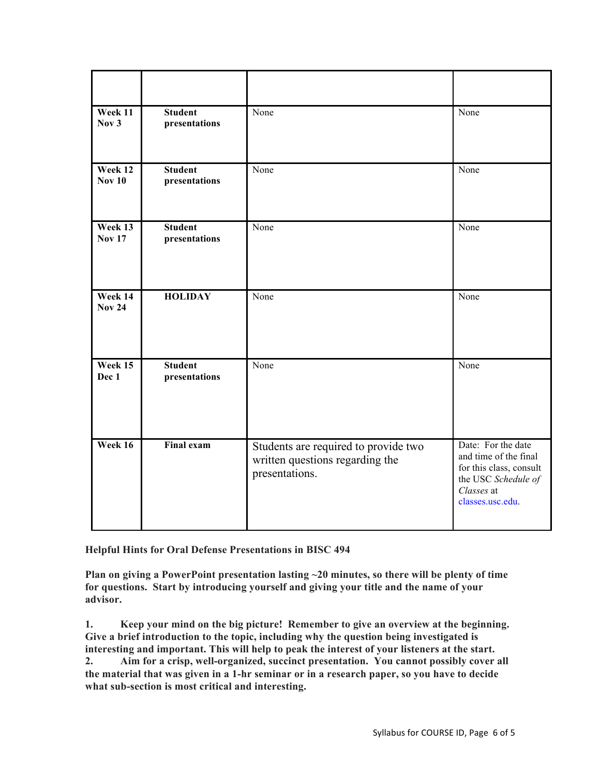| Week 11<br>Nov <sub>3</sub> | <b>Student</b><br>presentations | None                                                                                      | None                                                                                                                            |
|-----------------------------|---------------------------------|-------------------------------------------------------------------------------------------|---------------------------------------------------------------------------------------------------------------------------------|
| Week 12<br><b>Nov 10</b>    | <b>Student</b><br>presentations | None                                                                                      | None                                                                                                                            |
| Week 13<br><b>Nov 17</b>    | <b>Student</b><br>presentations | None                                                                                      | None                                                                                                                            |
| Week 14<br><b>Nov 24</b>    | <b>HOLIDAY</b>                  | None                                                                                      | None                                                                                                                            |
| Week 15<br>Dec 1            | <b>Student</b><br>presentations | None                                                                                      | None                                                                                                                            |
| Week 16                     | <b>Final exam</b>               | Students are required to provide two<br>written questions regarding the<br>presentations. | Date: For the date<br>and time of the final<br>for this class, consult<br>the USC Schedule of<br>Classes at<br>classes.usc.edu. |

**Helpful Hints for Oral Defense Presentations in BISC 494**

**Plan on giving a PowerPoint presentation lasting ~20 minutes, so there will be plenty of time for questions. Start by introducing yourself and giving your title and the name of your advisor.**

**1. Keep your mind on the big picture! Remember to give an overview at the beginning. Give a brief introduction to the topic, including why the question being investigated is interesting and important. This will help to peak the interest of your listeners at the start. 2. Aim for a crisp, well-organized, succinct presentation. You cannot possibly cover all** 

**the material that was given in a 1-hr seminar or in a research paper, so you have to decide what sub-section is most critical and interesting.**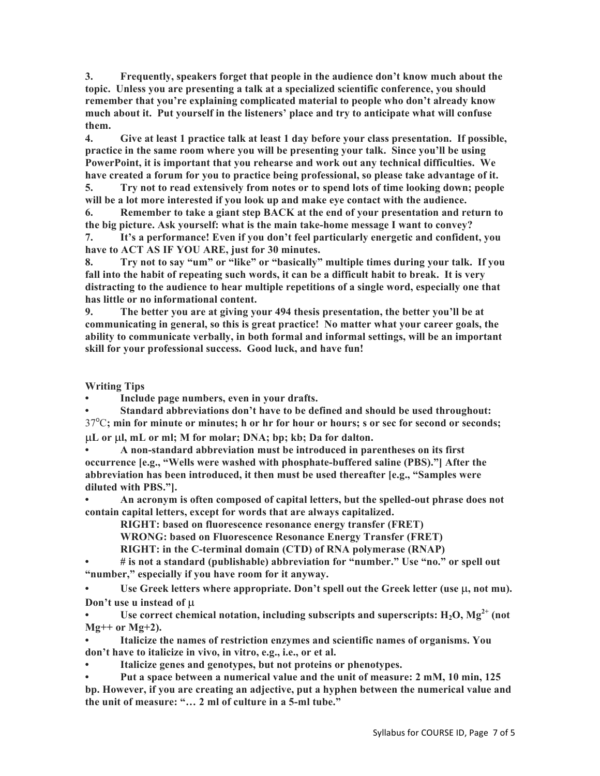**3. Frequently, speakers forget that people in the audience don't know much about the topic. Unless you are presenting a talk at a specialized scientific conference, you should remember that you're explaining complicated material to people who don't already know much about it. Put yourself in the listeners' place and try to anticipate what will confuse them.** 

**4. Give at least 1 practice talk at least 1 day before your class presentation. If possible, practice in the same room where you will be presenting your talk. Since you'll be using PowerPoint, it is important that you rehearse and work out any technical difficulties. We have created a forum for you to practice being professional, so please take advantage of it.**

**5. Try not to read extensively from notes or to spend lots of time looking down; people will be a lot more interested if you look up and make eye contact with the audience.**

**6. Remember to take a giant step BACK at the end of your presentation and return to the big picture. Ask yourself: what is the main take-home message I want to convey?** 

**7. It's a performance! Even if you don't feel particularly energetic and confident, you have to ACT AS IF YOU ARE, just for 30 minutes.**

**8. Try not to say "um" or "like" or "basically" multiple times during your talk. If you fall into the habit of repeating such words, it can be a difficult habit to break. It is very distracting to the audience to hear multiple repetitions of a single word, especially one that has little or no informational content.** 

**9. The better you are at giving your 494 thesis presentation, the better you'll be at communicating in general, so this is great practice! No matter what your career goals, the ability to communicate verbally, in both formal and informal settings, will be an important skill for your professional success. Good luck, and have fun!**

**Writing Tips**

**• Include page numbers, even in your drafts.**

**• Standard abbreviations don't have to be defined and should be used throughout:**  37<sup>o</sup>C; min for minute or minutes; h or hr for hour or hours; s or sec for second or seconds; µ**L or** µ**l, mL or ml; M for molar; DNA; bp; kb; Da for dalton.**

**• A non-standard abbreviation must be introduced in parentheses on its first occurrence [e.g., "Wells were washed with phosphate-buffered saline (PBS)."] After the abbreviation has been introduced, it then must be used thereafter [e.g., "Samples were diluted with PBS."].**

**• An acronym is often composed of capital letters, but the spelled-out phrase does not contain capital letters, except for words that are always capitalized.**

**RIGHT: based on fluorescence resonance energy transfer (FRET)**

**WRONG: based on Fluorescence Resonance Energy Transfer (FRET)**

**RIGHT: in the C-terminal domain (CTD) of RNA polymerase (RNAP)** 

**• # is not a standard (publishable) abbreviation for "number." Use "no." or spell out "number," especially if you have room for it anyway.**

Use Greek letters where appropriate. Don't spell out the Greek letter (use  $\mu$ , not mu). **Don't use u instead of** µ

Use correct chemical notation, including subscripts and superscripts:  $H_2O$ ,  $Mg^{2+}$  (not **Mg++ or Mg+2).**

**• Italicize the names of restriction enzymes and scientific names of organisms. You don't have to italicize in vivo, in vitro, e.g., i.e., or et al.**

**• Italicize genes and genotypes, but not proteins or phenotypes.**

**• Put a space between a numerical value and the unit of measure: 2 mM, 10 min, 125 bp. However, if you are creating an adjective, put a hyphen between the numerical value and the unit of measure: "… 2 ml of culture in a 5-ml tube."**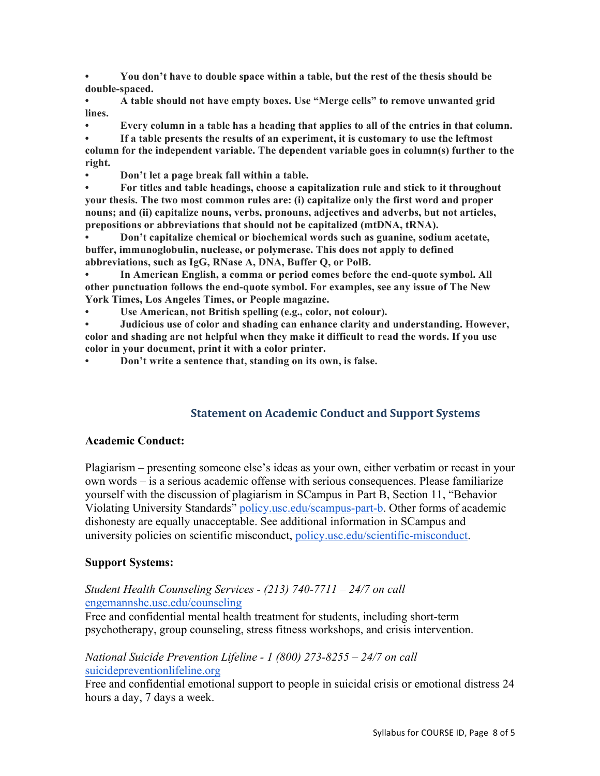**• You don't have to double space within a table, but the rest of the thesis should be double-spaced.**

**• A table should not have empty boxes. Use "Merge cells" to remove unwanted grid lines.**

**• Every column in a table has a heading that applies to all of the entries in that column.**

**• If a table presents the results of an experiment, it is customary to use the leftmost column for the independent variable. The dependent variable goes in column(s) further to the right.**

**• Don't let a page break fall within a table.**

**• For titles and table headings, choose a capitalization rule and stick to it throughout your thesis. The two most common rules are: (i) capitalize only the first word and proper nouns; and (ii) capitalize nouns, verbs, pronouns, adjectives and adverbs, but not articles, prepositions or abbreviations that should not be capitalized (mtDNA, tRNA).** 

**• Don't capitalize chemical or biochemical words such as guanine, sodium acetate, buffer, immunoglobulin, nuclease, or polymerase. This does not apply to defined abbreviations, such as IgG, RNase A, DNA, Buffer Q, or PolB.**

**• In American English, a comma or period comes before the end-quote symbol. All other punctuation follows the end-quote symbol. For examples, see any issue of The New York Times, Los Angeles Times, or People magazine.**

**• Use American, not British spelling (e.g., color, not colour).**

**• Judicious use of color and shading can enhance clarity and understanding. However, color and shading are not helpful when they make it difficult to read the words. If you use color in your document, print it with a color printer.**

**• Don't write a sentence that, standing on its own, is false.**

# **Statement on Academic Conduct and Support Systems**

#### **Academic Conduct:**

Plagiarism – presenting someone else's ideas as your own, either verbatim or recast in your own words – is a serious academic offense with serious consequences. Please familiarize yourself with the discussion of plagiarism in SCampus in Part B, Section 11, "Behavior Violating University Standards" policy.usc.edu/scampus-part-b. Other forms of academic dishonesty are equally unacceptable. See additional information in SCampus and university policies on scientific misconduct, policy.usc.edu/scientific-misconduct.

#### **Support Systems:**

## *Student Health Counseling Services - (213) 740-7711 – 24/7 on call* engemannshc.usc.edu/counseling

Free and confidential mental health treatment for students, including short-term psychotherapy, group counseling, stress fitness workshops, and crisis intervention.

## *National Suicide Prevention Lifeline - 1 (800) 273-8255 – 24/7 on call* suicidepreventionlifeline.org

Free and confidential emotional support to people in suicidal crisis or emotional distress 24 hours a day, 7 days a week.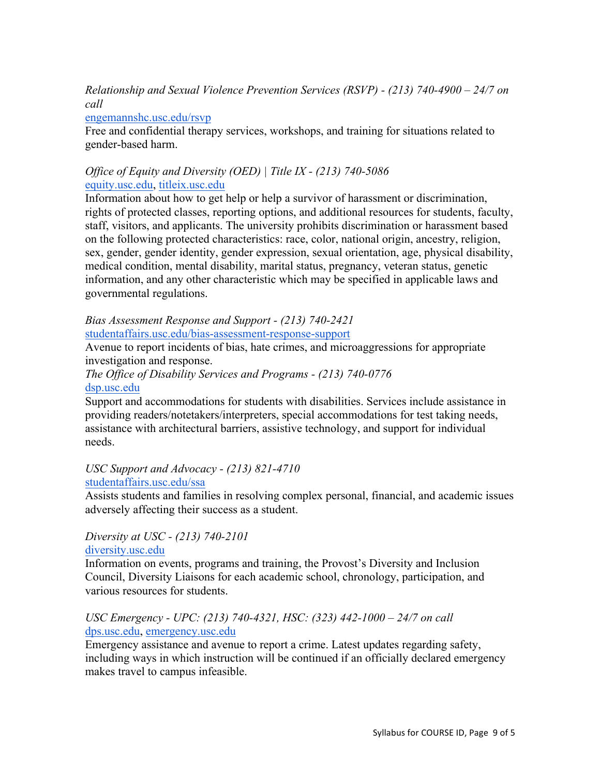*Relationship and Sexual Violence Prevention Services (RSVP) - (213) 740-4900 – 24/7 on call*

## engemannshc.usc.edu/rsvp

Free and confidential therapy services, workshops, and training for situations related to gender-based harm.

# *Office of Equity and Diversity (OED) | Title IX - (213) 740-5086* equity.usc.edu, titleix.usc.edu

Information about how to get help or help a survivor of harassment or discrimination, rights of protected classes, reporting options, and additional resources for students, faculty, staff, visitors, and applicants. The university prohibits discrimination or harassment based on the following protected characteristics: race, color, national origin, ancestry, religion, sex, gender, gender identity, gender expression, sexual orientation, age, physical disability, medical condition, mental disability, marital status, pregnancy, veteran status, genetic information, and any other characteristic which may be specified in applicable laws and governmental regulations.

#### *Bias Assessment Response and Support - (213) 740-2421* studentaffairs.usc.edu/bias-assessment-response-support

Avenue to report incidents of bias, hate crimes, and microaggressions for appropriate investigation and response.

## *The Office of Disability Services and Programs - (213) 740-0776* dsp.usc.edu

Support and accommodations for students with disabilities. Services include assistance in providing readers/notetakers/interpreters, special accommodations for test taking needs, assistance with architectural barriers, assistive technology, and support for individual needs.

# *USC Support and Advocacy - (213) 821-4710*

# studentaffairs.usc.edu/ssa

Assists students and families in resolving complex personal, financial, and academic issues adversely affecting their success as a student.

#### *Diversity at USC - (213) 740-2101* diversity.usc.edu

Information on events, programs and training, the Provost's Diversity and Inclusion Council, Diversity Liaisons for each academic school, chronology, participation, and various resources for students.

# *USC Emergency - UPC: (213) 740-4321, HSC: (323) 442-1000 – 24/7 on call*  dps.usc.edu, emergency.usc.edu

Emergency assistance and avenue to report a crime. Latest updates regarding safety, including ways in which instruction will be continued if an officially declared emergency makes travel to campus infeasible.